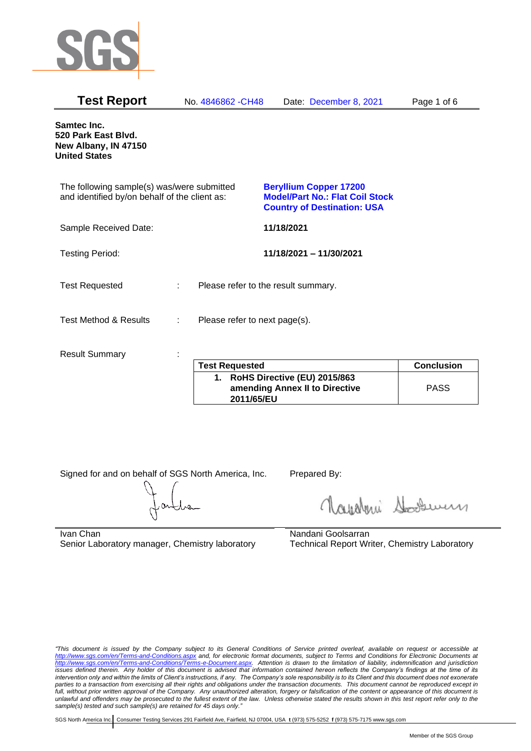

| <b>Test Report</b>                                                                          |   | No. 4846862 - CH48                  | Date: December 8, 2021                                                                                        | Page 1 of 6       |
|---------------------------------------------------------------------------------------------|---|-------------------------------------|---------------------------------------------------------------------------------------------------------------|-------------------|
| Samtec Inc.<br>520 Park East Blvd.<br>New Albany, IN 47150<br><b>United States</b>          |   |                                     |                                                                                                               |                   |
| The following sample(s) was/were submitted<br>and identified by/on behalf of the client as: |   |                                     | <b>Beryllium Copper 17200</b><br><b>Model/Part No.: Flat Coil Stock</b><br><b>Country of Destination: USA</b> |                   |
| Sample Received Date:                                                                       |   |                                     | 11/18/2021                                                                                                    |                   |
| <b>Testing Period:</b>                                                                      |   |                                     | 11/18/2021 - 11/30/2021                                                                                       |                   |
| <b>Test Requested</b>                                                                       | ÷ | Please refer to the result summary. |                                                                                                               |                   |
| <b>Test Method &amp; Results</b>                                                            | ÷ | Please refer to next page(s).       |                                                                                                               |                   |
| <b>Result Summary</b>                                                                       |   | <b>Test Requested</b>               |                                                                                                               | <b>Conclusion</b> |
|                                                                                             |   |                                     | $\lambda$ Delle Diseative (FII) 2045/062                                                                      |                   |

| <b>Test Requested</b>                                                           | <b>Conclusion</b> |
|---------------------------------------------------------------------------------|-------------------|
| 1. RoHS Directive (EU) 2015/863<br>amending Annex II to Directive<br>2011/65/EU | <b>PASS</b>       |

Signed for and on behalf of SGS North America, Inc. Prepared By:

Navaleni Soomun

Ivan Chan Senior Laboratory manager, Chemistry laboratory Nandani Goolsarran Technical Report Writer, Chemistry Laboratory

*"This document is issued by the Company subject to its General Conditions of Service printed overleaf, available on request or accessible at <http://www.sgs.com/en/Terms-and-Conditions.aspx> and, for electronic format documents, subject to Terms and Conditions for Electronic Documents at [http://www.sgs.com/en/Terms-and-Conditions/Terms-e-Document.aspx.](http://www.sgs.com/en/Terms-and-Conditions/Terms-e-Document.aspx) Attention is drawn to the limitation of liability, indemnification and jurisdiction issues defined therein. Any holder of this document is advised that information contained hereon reflects the Company's findings at the time of its intervention only and within the limits of Client's instructions, if any. The Company's sole responsibility is to its Client and this document does not exonerate parties to a transaction from exercising all their rights and obligations under the transaction documents. This document cannot be reproduced except in full, without prior written approval of the Company. Any unauthorized alteration, forgery or falsification of the content or appearance of this document is unlawful and offenders may be prosecuted to the fullest extent of the law. Unless otherwise stated the results shown in this test report refer only to the sample(s) tested and such sample(s) are retained for 45 days only."*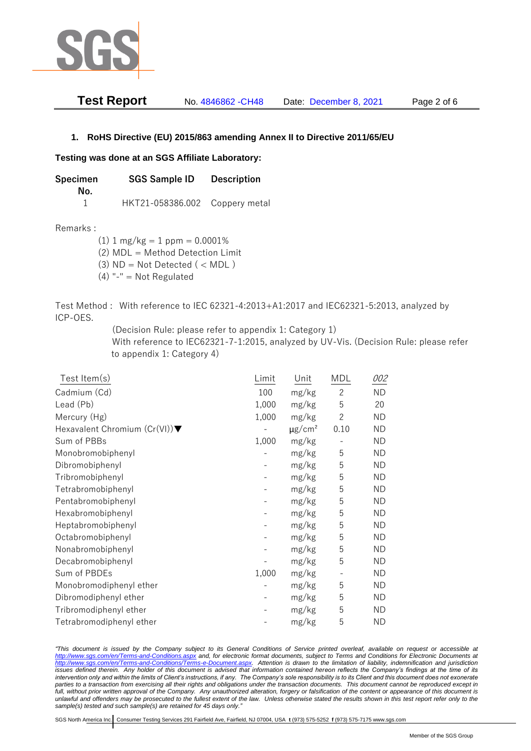

| Test Report | No. 4846862 - CH48 | Date: December 8, 2021 | Page 2 of 6 |
|-------------|--------------------|------------------------|-------------|
|-------------|--------------------|------------------------|-------------|

## **1. RoHS Directive (EU) 2015/863 amending Annex II to Directive 2011/65/EU**

## **Testing was done at an SGS Affiliate Laboratory:**

**Specimen SGS Sample ID Description No.** 1 HKT21-058386.002 Coppery metal

Remarks :

 $(1)$  1 mg/kg = 1 ppm = 0.0001%

(2) MDL = Method Detection Limit

- $(3)$  ND = Not Detected  $($  < MDL)
- (4) "-" = Not Regulated

Test Method : With reference to IEC 62321-4:2013+A1:2017 and IEC62321-5:2013, analyzed by ICP-OES.

(Decision Rule: please refer to appendix 1: Category 1)

With reference to IEC62321-7-1:2015, analyzed by UV-Vis. (Decision Rule: please refer to appendix 1: Category 4)

| Test Item(s)                                     | Limit | Unit                    | MDL                      | 002       |
|--------------------------------------------------|-------|-------------------------|--------------------------|-----------|
| Cadmium (Cd)                                     | 100   | mg/kg                   | $\overline{c}$           | <b>ND</b> |
| Lead (Pb)                                        | 1,000 | mg/kg                   | 5                        | 20        |
| Mercury (Hg)                                     | 1,000 | mg/kg                   | $\overline{2}$           | ND.       |
| Hexavalent Chromium $(Cr(VI))\blacktriangledown$ |       | $\mu$ g/cm <sup>2</sup> | 0.10                     | <b>ND</b> |
| Sum of PBBs                                      | 1,000 | mg/kg                   |                          | <b>ND</b> |
| Monobromobiphenyl                                |       | mg/kg                   | 5                        | <b>ND</b> |
| Dibromobiphenyl                                  |       | mg/kg                   | 5                        | ND.       |
| Tribromobiphenyl                                 |       | mg/kg                   | 5                        | <b>ND</b> |
| Tetrabromobiphenyl                               |       | mg/kg                   | 5                        | <b>ND</b> |
| Pentabromobiphenyl                               |       | mg/kg                   | 5                        | ND        |
| Hexabromobiphenyl                                |       | mg/kg                   | 5                        | ND.       |
| Heptabromobiphenyl                               |       | mg/kg                   | 5                        | <b>ND</b> |
| Octabromobiphenyl                                |       | mg/kg                   | 5                        | <b>ND</b> |
| Nonabromobiphenyl                                |       | mg/kg                   | 5                        | <b>ND</b> |
| Decabromobiphenyl                                |       | mg/kg                   | 5                        | <b>ND</b> |
| Sum of PBDEs                                     | 1,000 | mg/kg                   | $\overline{\phantom{a}}$ | <b>ND</b> |
| Monobromodiphenyl ether                          |       | mg/kg                   | 5                        | <b>ND</b> |
| Dibromodiphenyl ether                            |       | mg/kg                   | 5                        | ND.       |
| Tribromodiphenyl ether                           |       | mg/kg                   | 5                        | ND        |
| Tetrabromodiphenyl ether                         |       | mg/kg                   | 5                        | <b>ND</b> |

*"This document is issued by the Company subject to its General Conditions of Service printed overleaf, available on request or accessible at <http://www.sgs.com/en/Terms-and-Conditions.aspx> and, for electronic format documents, subject to Terms and Conditions for Electronic Documents at [http://www.sgs.com/en/Terms-and-Conditions/Terms-e-Document.aspx.](http://www.sgs.com/en/Terms-and-Conditions/Terms-e-Document.aspx) Attention is drawn to the limitation of liability, indemnification and jurisdiction issues defined therein. Any holder of this document is advised that information contained hereon reflects the Company's findings at the time of its intervention only and within the limits of Client's instructions, if any. The Company's sole responsibility is to its Client and this document does not exonerate*  parties to a transaction from exercising all their rights and obligations under the transaction documents. This document cannot be reproduced except in *full, without prior written approval of the Company. Any unauthorized alteration, forgery or falsification of the content or appearance of this document is unlawful and offenders may be prosecuted to the fullest extent of the law. Unless otherwise stated the results shown in this test report refer only to the sample(s) tested and such sample(s) are retained for 45 days only."*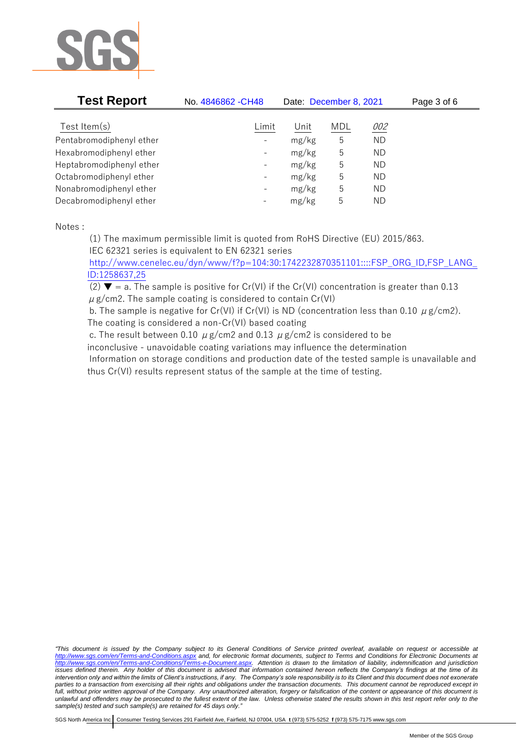

| <b>Test Report</b>       | No. 4846862 - CH48       | Date: December 8, 2021 |            |           | Page 3 of 6 |
|--------------------------|--------------------------|------------------------|------------|-----------|-------------|
| Test Item $(s)$          | Limit                    | Unit                   | <b>MDL</b> | 002       |             |
| Pentabromodiphenyl ether | $\overline{\phantom{a}}$ | mg/kg                  | 5          | <b>ND</b> |             |
| Hexabromodiphenyl ether  | $\overline{\phantom{a}}$ | mg/kg                  | 5          | ND.       |             |
| Heptabromodiphenyl ether | $\overline{\phantom{a}}$ | mg/kg                  | 5          | <b>ND</b> |             |
| Octabromodiphenyl ether  | $\overline{\phantom{a}}$ | mg/kg                  | 5          | <b>ND</b> |             |
| Nonabromodiphenyl ether  | $\overline{\phantom{a}}$ | mg/kg                  | 5          | <b>ND</b> |             |
| Decabromodiphenyl ether  | $\qquad \qquad -$        | mg/kg                  | 5          | ND.       |             |

Notes :

(1) The maximum permissible limit is quoted from RoHS Directive (EU) 2015/863. IEC 62321 series is equivalent to EN 62321 series

[http://www.cenelec.eu/dyn/www/f?p=104:30:1742232870351101::::FSP\\_ORG\\_ID,FSP\\_LANG\\_](http://www.cenelec.eu/dyn/www/f?p=104:30:1742232870351101::::FSP_ORG_ID,FSP_LANG_ID:1258637,25) [ID:1258637,25](http://www.cenelec.eu/dyn/www/f?p=104:30:1742232870351101::::FSP_ORG_ID,FSP_LANG_ID:1258637,25)

(2)  $\blacktriangledown$  = a. The sample is positive for Cr(VI) if the Cr(VI) concentration is greater than 0.13  $\mu$  g/cm2. The sample coating is considered to contain Cr(VI)

b. The sample is negative for Cr(VI) if Cr(VI) is ND (concentration less than 0.10  $\mu$  g/cm2). The coating is considered a non-Cr(VI) based coating

c. The result between 0.10  $\mu$  g/cm2 and 0.13  $\mu$  g/cm2 is considered to be

inconclusive - unavoidable coating variations may influence the determination

Information on storage conditions and production date of the tested sample is unavailable and thus Cr(VI) results represent status of the sample at the time of testing.

*"This document is issued by the Company subject to its General Conditions of Service printed overleaf, available on request or accessible at <http://www.sgs.com/en/Terms-and-Conditions.aspx> and, for electronic format documents, subject to Terms and Conditions for Electronic Documents at [http://www.sgs.com/en/Terms-and-Conditions/Terms-e-Document.aspx.](http://www.sgs.com/en/Terms-and-Conditions/Terms-e-Document.aspx) Attention is drawn to the limitation of liability, indemnification and jurisdiction issues defined therein. Any holder of this document is advised that information contained hereon reflects the Company's findings at the time of its intervention only and within the limits of Client's instructions, if any. The Company's sole responsibility is to its Client and this document does not exonerate parties to a transaction from exercising all their rights and obligations under the transaction documents. This document cannot be reproduced except in full, without prior written approval of the Company. Any unauthorized alteration, forgery or falsification of the content or appearance of this document is unlawful and offenders may be prosecuted to the fullest extent of the law. Unless otherwise stated the results shown in this test report refer only to the sample(s) tested and such sample(s) are retained for 45 days only."*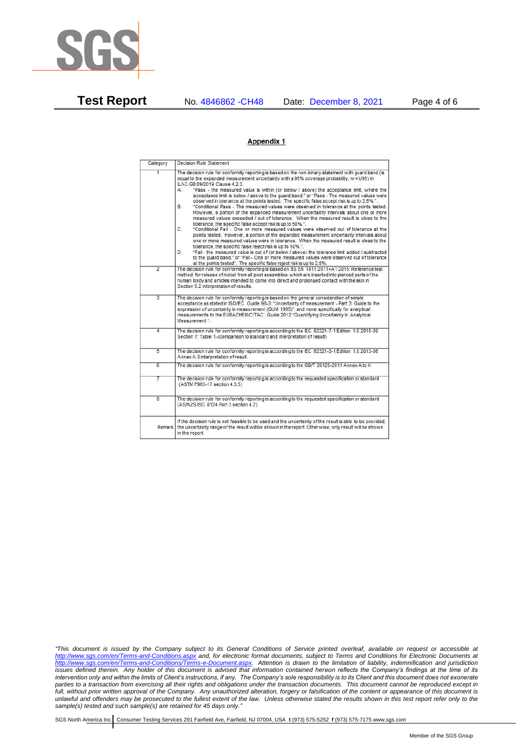

**Test Report** No. 4846862 -CH48 Date: December 8, 2021 Page 4 of 6

## Appendix 1

| Category       | Decision Rule Statement                                                                                                                                                                                                                                                                                                                                                                                                                                                                                                                                                                                                                                                                                                                                                                                                                                                                                                                                                                                                                                                                                                                                                                                                                                                                                                                                                                                                                                                                                            |
|----------------|--------------------------------------------------------------------------------------------------------------------------------------------------------------------------------------------------------------------------------------------------------------------------------------------------------------------------------------------------------------------------------------------------------------------------------------------------------------------------------------------------------------------------------------------------------------------------------------------------------------------------------------------------------------------------------------------------------------------------------------------------------------------------------------------------------------------------------------------------------------------------------------------------------------------------------------------------------------------------------------------------------------------------------------------------------------------------------------------------------------------------------------------------------------------------------------------------------------------------------------------------------------------------------------------------------------------------------------------------------------------------------------------------------------------------------------------------------------------------------------------------------------------|
| $\overline{1}$ | The decision rule for conformity reporting is based on the non-binary statement with quard band (is<br>equal to the expanded measurement uncertainty with a 95% coverage probability, w = U95) in<br>ILAC-G8:09/2019 Clause 4.2.3.<br>"Pass - the measured value is within (or below / above) the acceptance limit, where the<br>А.<br>acceptance limit is below / above to the quard band." or "Pass - The measured values were<br>observed in tolerance at the points tested. The specific false accept risk is up to 2.5%.".<br>"Conditional Pass - The measured values were observed in tolerance at the points tested.<br>В.<br>However, a portion of the expanded measurement uncertainty intervals about one or more<br>measured values exceeded / out of tolerance. When the measured result is close to the<br>tolerance, the specific false accept risk is up to 50%.".<br>C.<br>"Conditional Fail - One or more measured values were observed out of tolerance at the<br>points tested. However, a portion of the expanded measurement uncertainty intervals about<br>one or more measured values were in tolerance. When the measured result is close to the<br>tolerance, the specific false reject risk is up to 50%.".<br>"Fail - the measured value is out of (or below / above) the tolerance limit added / subtracted<br>D.<br>to the quard band." or "Fail - One or more measured values were observed out of tolerance<br>at the points tested". The specific false reject risk is up to 2.5%. |
| $\overline{2}$ | The decision rule for conformity reporting is based on BS EN 1811:2011+A1:2015: Reference test<br>method for release of nickel from all post assemblies which are inserted into pierced parts of the<br>human body and articles intended to come into direct and prolonged contact with the skin in<br>Section 9.2 interpretation of results.                                                                                                                                                                                                                                                                                                                                                                                                                                                                                                                                                                                                                                                                                                                                                                                                                                                                                                                                                                                                                                                                                                                                                                      |
| $\overline{3}$ | The decision rule for conformity reporting is based on the general consideration of simple<br>acceptance as stated in ISO/IEC Guide 98-3: "Uncertainty of measurement - Part 3: Guide to the<br>expression of uncertainty in measurement (GUM 1995)", and more specifically for analytical<br>measurements to the EURACHEM/CITAC Guide 2012 "Quantifying Uncertainty in Analytical<br>Measurement *                                                                                                                                                                                                                                                                                                                                                                                                                                                                                                                                                                                                                                                                                                                                                                                                                                                                                                                                                                                                                                                                                                                |
| 4              | The decision rule for conformity reporting is according to the IEC 62321-7-1 Edition 1.0 2015-09<br>Section 7: Table 1-(comparison to standard and interpretation of result)                                                                                                                                                                                                                                                                                                                                                                                                                                                                                                                                                                                                                                                                                                                                                                                                                                                                                                                                                                                                                                                                                                                                                                                                                                                                                                                                       |
| $\overline{5}$ | The decision rule for conformity reporting is according to the IEC 62321-3-1 Edition 1.0 2013-06<br>Annex A.3 interpretation of result.                                                                                                                                                                                                                                                                                                                                                                                                                                                                                                                                                                                                                                                                                                                                                                                                                                                                                                                                                                                                                                                                                                                                                                                                                                                                                                                                                                            |
| $\overline{6}$ | The decision rule for conformity reporting is according to the GB/T 26125-2011 Annex A to H                                                                                                                                                                                                                                                                                                                                                                                                                                                                                                                                                                                                                                                                                                                                                                                                                                                                                                                                                                                                                                                                                                                                                                                                                                                                                                                                                                                                                        |
| 7              | The decision rule for conformity reporting is according to the requested specification or standard<br>(ASTM F963-17 section 4.3.5)                                                                                                                                                                                                                                                                                                                                                                                                                                                                                                                                                                                                                                                                                                                                                                                                                                                                                                                                                                                                                                                                                                                                                                                                                                                                                                                                                                                 |
| $\overline{8}$ | The decision rule for conformity reporting is according to the requested specification or standard<br>(AS/NZS ISO 8124 Part 3 section 4.2)                                                                                                                                                                                                                                                                                                                                                                                                                                                                                                                                                                                                                                                                                                                                                                                                                                                                                                                                                                                                                                                                                                                                                                                                                                                                                                                                                                         |
| Remark         | If the decision rule is not feasible to be used and the uncertainty of the result is able to be provided.<br>the uncertainty range of the result will be shown in the report. Otherwise, only result will be shown<br>in the report.                                                                                                                                                                                                                                                                                                                                                                                                                                                                                                                                                                                                                                                                                                                                                                                                                                                                                                                                                                                                                                                                                                                                                                                                                                                                               |

*"This document is issued by the Company subject to its General Conditions of Service printed overleaf, available on request or accessible at <http://www.sgs.com/en/Terms-and-Conditions.aspx> and, for electronic format documents, subject to Terms and Conditions for Electronic Documents at [http://www.sgs.com/en/Terms-and-Conditions/Terms-e-Document.aspx.](http://www.sgs.com/en/Terms-and-Conditions/Terms-e-Document.aspx) Attention is drawn to the limitation of liability, indemnification and jurisdiction issues defined therein. Any holder of this document is advised that information contained hereon reflects the Company's findings at the time of its intervention only and within the limits of Client's instructions, if any. The Company's sole responsibility is to its Client and this document does not exonerate parties to a transaction from exercising all their rights and obligations under the transaction documents. This document cannot be reproduced except in full, without prior written approval of the Company. Any unauthorized alteration, forgery or falsification of the content or appearance of this document is unlawful and offenders may be prosecuted to the fullest extent of the law. Unless otherwise stated the results shown in this test report refer only to the sample(s) tested and such sample(s) are retained for 45 days only."*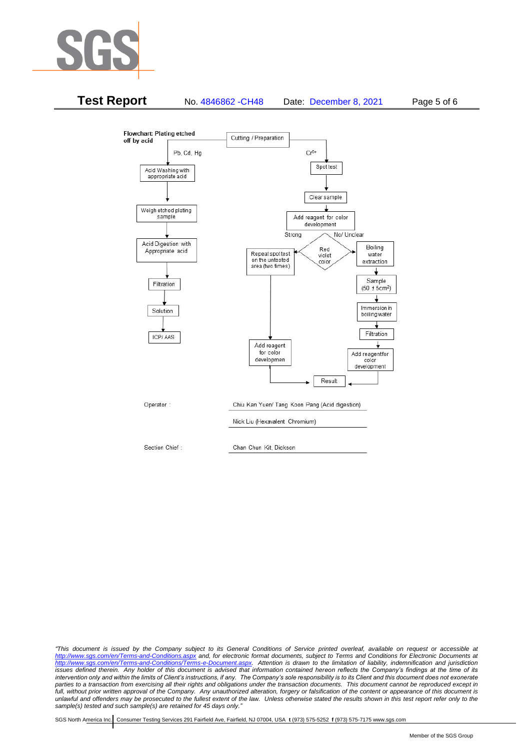



*"This document is issued by the Company subject to its General Conditions of Service printed overleaf, available on request or accessible at <http://www.sgs.com/en/Terms-and-Conditions.aspx> and, for electronic format documents, subject to Terms and Conditions for Electronic Documents at [http://www.sgs.com/en/Terms-and-Conditions/Terms-e-Document.aspx.](http://www.sgs.com/en/Terms-and-Conditions/Terms-e-Document.aspx) Attention is drawn to the limitation of liability, indemnification and jurisdiction issues defined therein. Any holder of this document is advised that information contained hereon reflects the Company's findings at the time of its intervention only and within the limits of Client's instructions, if any. The Company's sole responsibility is to its Client and this document does not exonerate*  parties to a transaction from exercising all their rights and obligations under the transaction documents. This document cannot be reproduced except in *full, without prior written approval of the Company. Any unauthorized alteration, forgery or falsification of the content or appearance of this document is unlawful and offenders may be prosecuted to the fullest extent of the law. Unless otherwise stated the results shown in this test report refer only to the sample(s) tested and such sample(s) are retained for 45 days only."*